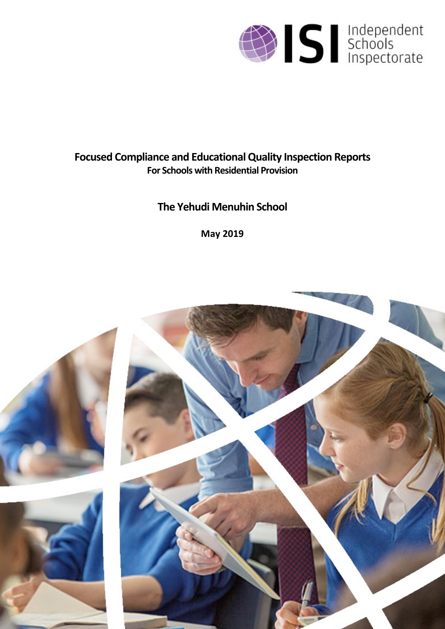

# **Focused Compliance and EducationalQuality Inspection Reports For Schools with Residential Provision**

# **The Yehudi Menuhin School**

**May 2019**

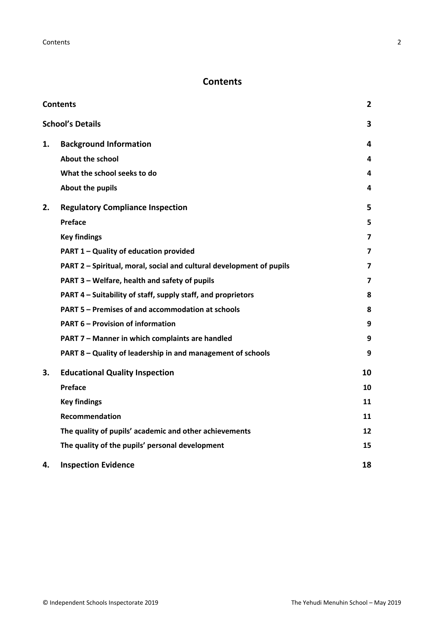# <span id="page-1-0"></span>**Contents**

| <b>Contents</b> |                                                                      |                |
|-----------------|----------------------------------------------------------------------|----------------|
|                 | <b>School's Details</b>                                              | 3              |
| 1.              | <b>Background Information</b>                                        | 4              |
|                 | <b>About the school</b>                                              | 4              |
|                 | What the school seeks to do                                          | 4              |
|                 | About the pupils                                                     | 4              |
| 2.              | <b>Regulatory Compliance Inspection</b>                              | 5              |
|                 | Preface                                                              | 5              |
|                 | <b>Key findings</b>                                                  | $\overline{7}$ |
|                 | PART 1 - Quality of education provided                               | 7              |
|                 | PART 2 - Spiritual, moral, social and cultural development of pupils | $\overline{ }$ |
|                 | PART 3 - Welfare, health and safety of pupils                        | 7              |
|                 | PART 4 - Suitability of staff, supply staff, and proprietors         | 8              |
|                 | PART 5 - Premises of and accommodation at schools                    | 8              |
|                 | <b>PART 6 - Provision of information</b>                             | 9              |
|                 | PART 7 - Manner in which complaints are handled                      | 9              |
|                 | PART 8 - Quality of leadership in and management of schools          | 9              |
| 3.              | <b>Educational Quality Inspection</b>                                | 10             |
|                 | Preface                                                              | 10             |
|                 | <b>Key findings</b>                                                  | 11             |
|                 | Recommendation                                                       | 11             |
|                 | The quality of pupils' academic and other achievements               | 12             |
|                 | The quality of the pupils' personal development                      | 15             |
| 4.              | <b>Inspection Evidence</b>                                           | 18             |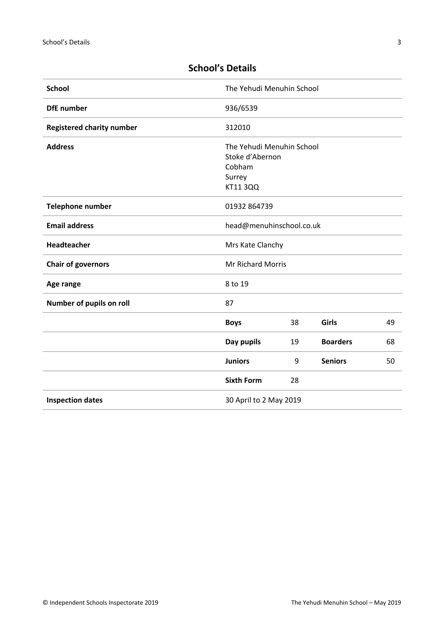| <b>School</b>                    | The Yehudi Menuhin School |    |                 |    |
|----------------------------------|---------------------------|----|-----------------|----|
| <b>DfE</b> number                | 936/6539                  |    |                 |    |
| <b>Registered charity number</b> | 312010                    |    |                 |    |
| <b>Address</b>                   | The Yehudi Menuhin School |    |                 |    |
|                                  | Stoke d'Abernon           |    |                 |    |
|                                  | Cobham                    |    |                 |    |
|                                  | Surrey                    |    |                 |    |
|                                  | <b>KT11 3QQ</b>           |    |                 |    |
| <b>Telephone number</b>          | 01932 864739              |    |                 |    |
| <b>Email address</b>             | head@menuhinschool.co.uk  |    |                 |    |
| Headteacher                      | Mrs Kate Clanchy          |    |                 |    |
| <b>Chair of governors</b>        | Mr Richard Morris         |    |                 |    |
| Age range                        | 8 to 19                   |    |                 |    |
| Number of pupils on roll         | 87                        |    |                 |    |
|                                  | <b>Boys</b>               | 38 | Girls           | 49 |
|                                  | Day pupils                | 19 | <b>Boarders</b> | 68 |
|                                  | <b>Juniors</b>            | 9  | <b>Seniors</b>  | 50 |
|                                  | <b>Sixth Form</b>         | 28 |                 |    |
| <b>Inspection dates</b>          | 30 April to 2 May 2019    |    |                 |    |

# <span id="page-2-0"></span>**School's Details**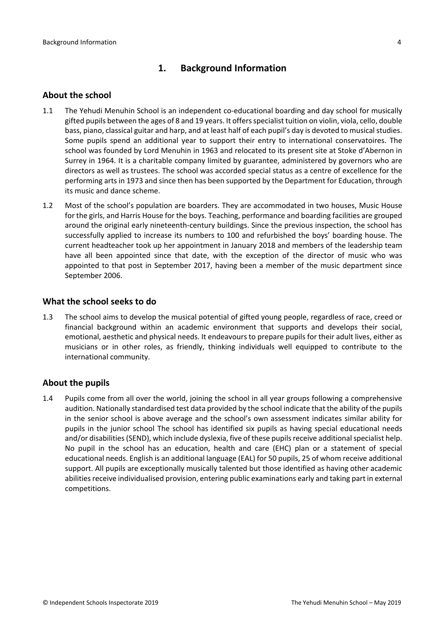# <span id="page-3-0"></span>**1. Background Information**

#### <span id="page-3-1"></span>**About the school**

- 1.1 The Yehudi Menuhin School is an independent co-educational boarding and day school for musically gifted pupils between the ages of 8 and 19 years. It offersspecialist tuition on violin, viola, cello, double bass, piano, classical guitar and harp, and at least half of each pupil's day is devoted to musical studies. Some pupils spend an additional year to support their entry to international conservatoires. The school was founded by Lord Menuhin in 1963 and relocated to its present site at Stoke d'Abernon in Surrey in 1964. It is a charitable company limited by guarantee, administered by governors who are directors as well as trustees. The school was accorded special status as a centre of excellence for the performing arts in 1973 and since then has been supported by the Department for Education, through its music and dance scheme.
- 1.2 Most of the school's population are boarders. They are accommodated in two houses, Music House for the girls, and Harris House for the boys. Teaching, performance and boarding facilities are grouped around the original early nineteenth-century buildings. Since the previous inspection, the school has successfully applied to increase its numbers to 100 and refurbished the boys' boarding house. The current headteacher took up her appointment in January 2018 and members of the leadership team have all been appointed since that date, with the exception of the director of music who was appointed to that post in September 2017, having been a member of the music department since September 2006.

#### <span id="page-3-2"></span>**What the school seeks to do**

1.3 The school aims to develop the musical potential of gifted young people, regardless of race, creed or financial background within an academic environment that supports and develops their social, emotional, aesthetic and physical needs. It endeavours to prepare pupils for their adult lives, either as musicians or in other roles, as friendly, thinking individuals well equipped to contribute to the international community.

### <span id="page-3-3"></span>**About the pupils**

1.4 Pupils come from all over the world, joining the school in all year groups following a comprehensive audition. Nationally standardised test data provided by the school indicate that the ability of the pupils in the senior school is above average and the school's own assessment indicates similar ability for pupils in the junior school The school has identified six pupils as having special educational needs and/or disabilities (SEND), which include dyslexia, five of these pupils receive additional specialist help. No pupil in the school has an education, health and care (EHC) plan or a statement of special educational needs. English is an additional language (EAL) for 50 pupils, 25 of whom receive additional support. All pupils are exceptionally musically talented but those identified as having other academic abilities receive individualised provision, entering public examinations early and taking part in external competitions.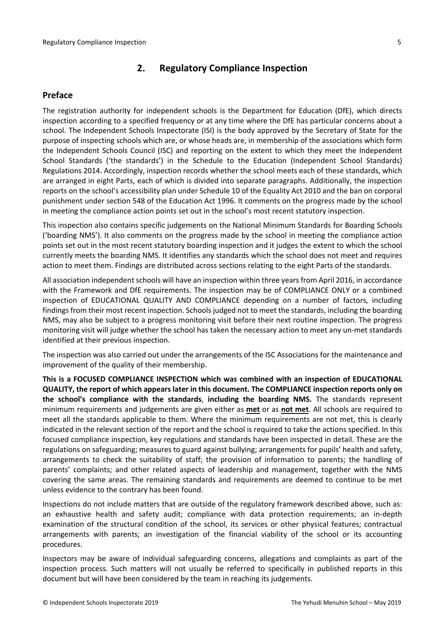# <span id="page-4-0"></span>**2. Regulatory Compliance Inspection**

#### <span id="page-4-1"></span>**Preface**

The registration authority for independent schools is the Department for Education (DfE), which directs inspection according to a specified frequency or at any time where the DfE has particular concerns about a school. The Independent Schools Inspectorate (ISI) is the body approved by the Secretary of State for the purpose of inspecting schools which are, or whose heads are, in membership of the associations which form the Independent Schools Council (ISC) and reporting on the extent to which they meet the Independent School Standards ('the standards') in the Schedule to the Education (Independent School Standards) Regulations 2014. Accordingly, inspection records whether the school meets each of these standards, which are arranged in eight Parts, each of which is divided into separate paragraphs. Additionally, the inspection reports on the school's accessibility plan under Schedule 10 of the Equality Act 2010 and the ban on corporal punishment under section 548 of the Education Act 1996. It comments on the progress made by the school in meeting the compliance action points set out in the school's most recent statutory inspection.

This inspection also contains specific judgements on the National Minimum Standards for Boarding Schools ('boarding NMS'). It also comments on the progress made by the school in meeting the compliance action points set out in the most recent statutory boarding inspection and it judges the extent to which the school currently meets the boarding NMS. It identifies any standards which the school does not meet and requires action to meet them. Findings are distributed across sections relating to the eight Parts of the standards.

All association independent schools will have an inspection within three yearsfrom April 2016, in accordance with the Framework and DfE requirements. The inspection may be of COMPLIANCE ONLY or a combined inspection of EDUCATIONAL QUALITY AND COMPLIANCE depending on a number of factors, including findings from their most recent inspection. Schools judged not to meet the standards, including the boarding NMS, may also be subject to a progress monitoring visit before their next routine inspection. The progress monitoring visit will judge whether the school has taken the necessary action to meet any un-met standards identified at their previous inspection.

The inspection was also carried out under the arrangements of the ISC Associations for the maintenance and improvement of the quality of their membership.

**This is a FOCUSED COMPLIANCE INSPECTION which was combined with an inspection of EDUCATIONAL QUALITY, the report of which appears later in this document. The COMPLIANCE inspection reports only on the school's compliance with the standards**, **including the boarding NMS.** The standards represent minimum requirements and judgements are given either as **met** or as **not met**. All schools are required to meet all the standards applicable to them. Where the minimum requirements are not met, this is clearly indicated in the relevant section of the report and the school is required to take the actions specified. In this focused compliance inspection, key regulations and standards have been inspected in detail. These are the regulations on safeguarding; measures to guard against bullying; arrangements for pupils' health and safety, arrangements to check the suitability of staff; the provision of information to parents; the handling of parents' complaints; and other related aspects of leadership and management, together with the NMS covering the same areas. The remaining standards and requirements are deemed to continue to be met unless evidence to the contrary has been found.

Inspections do not include matters that are outside of the regulatory framework described above, such as: an exhaustive health and safety audit; compliance with data protection requirements; an in-depth examination of the structural condition of the school, its services or other physical features; contractual arrangements with parents; an investigation of the financial viability of the school or its accounting procedures.

Inspectors may be aware of individual safeguarding concerns, allegations and complaints as part of the inspection process. Such matters will not usually be referred to specifically in published reports in this document but will have been considered by the team in reaching its judgements.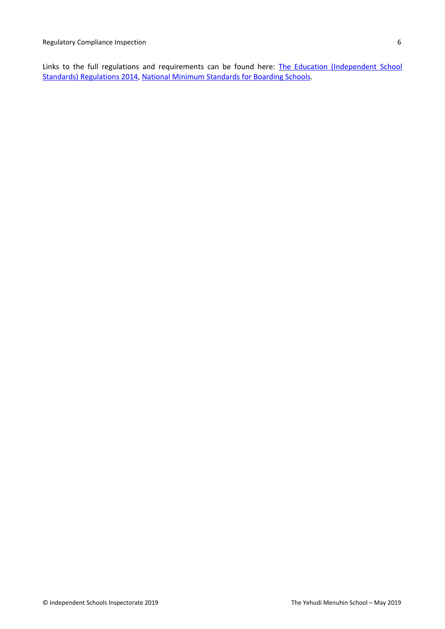Links to the full regulations and requirements can be found here: The Education [\(Independent](http://www.legislation.gov.uk/uksi/2014/3283/contents/made) School Standards) [Regulations](http://www.legislation.gov.uk/uksi/2014/3283/contents/made) 2014, National Minimum [Standards](https://www.gov.uk/government/uploads/system/uploads/attachment_data/file/416186/20150319_nms_bs_standards.pdf) for Boarding Schools.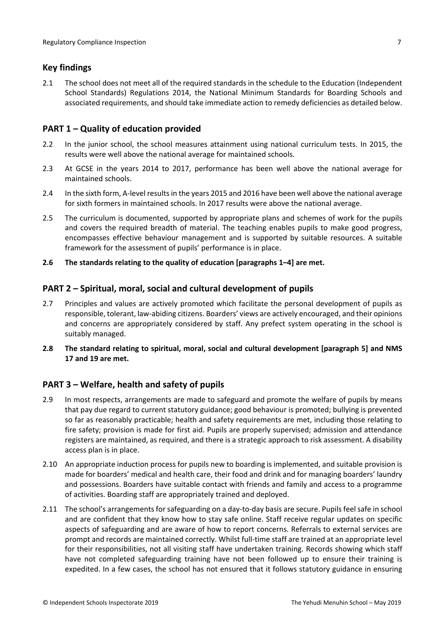# <span id="page-6-0"></span>**Key findings**

2.1 The school does not meet all of the required standards in the schedule to the Education (Independent School Standards) Regulations 2014, the National Minimum Standards for Boarding Schools and associated requirements, and should take immediate action to remedy deficiencies as detailed below.

# <span id="page-6-1"></span>**PART 1 – Quality of education provided**

- 2.2 In the junior school, the school measures attainment using national curriculum tests. In 2015, the results were well above the national average for maintained schools.
- 2.3 At GCSE in the years 2014 to 2017, performance has been well above the national average for maintained schools.
- 2.4 In the sixth form, A-level resultsin the years 2015 and 2016 have been well above the national average for sixth formers in maintained schools. In 2017 results were above the national average.
- 2.5 The curriculum is documented, supported by appropriate plans and schemes of work for the pupils and covers the required breadth of material. The teaching enables pupils to make good progress, encompasses effective behaviour management and is supported by suitable resources. A suitable framework for the assessment of pupils' performance is in place.
- **2.6 The standards relating to the quality of education [paragraphs 1–4] are met.**

# <span id="page-6-2"></span>**PART 2 – Spiritual, moral, social and cultural development of pupils**

- 2.7 Principles and values are actively promoted which facilitate the personal development of pupils as responsible, tolerant, law-abiding citizens. Boarders' views are actively encouraged, and their opinions and concerns are appropriately considered by staff. Any prefect system operating in the school is suitably managed.
- **2.8 The standard relating to spiritual, moral, social and cultural development [paragraph 5] and NMS 17 and 19 are met.**

# <span id="page-6-3"></span>**PART 3 – Welfare, health and safety of pupils**

- 2.9 In most respects, arrangements are made to safeguard and promote the welfare of pupils by means that pay due regard to current statutory guidance; good behaviour is promoted; bullying is prevented so far as reasonably practicable; health and safety requirements are met, including those relating to fire safety; provision is made for first aid. Pupils are properly supervised; admission and attendance registers are maintained, as required, and there is a strategic approach to risk assessment. A disability access plan is in place.
- 2.10 An appropriate induction process for pupils new to boarding is implemented, and suitable provision is made for boarders' medical and health care, their food and drink and for managing boarders' laundry and possessions. Boarders have suitable contact with friends and family and access to a programme of activities. Boarding staff are appropriately trained and deployed.
- 2.11 The school's arrangements for safeguarding on a day-to-day basis are secure. Pupils feel safe in school and are confident that they know how to stay safe online. Staff receive regular updates on specific aspects of safeguarding and are aware of how to report concerns. Referrals to external services are prompt and records are maintained correctly. Whilst full-time staff are trained at an appropriate level for their responsibilities, not all visiting staff have undertaken training. Records showing which staff have not completed safeguarding training have not been followed up to ensure their training is expedited. In a few cases, the school has not ensured that it follows statutory guidance in ensuring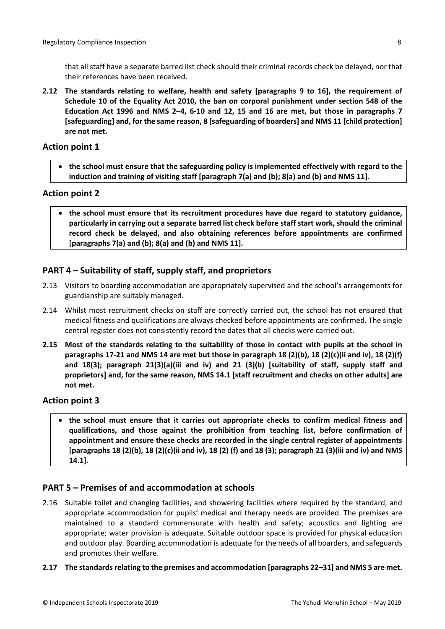**2.12 The standards relating to welfare, health and safety [paragraphs 9 to 16], the requirement of Schedule 10 of the Equality Act 2010, the ban on corporal punishment under section 548 of the Education Act 1996 and NMS 2–4, 6-10 and 12, 15 and 16 are met, but those in paragraphs 7 [safeguarding] and, for the same reason, 8 [safeguarding of boarders] and NMS 11 [child protection] are not met.**

#### **Action point 1**

 **the school must ensure that the safeguarding policy is implemented effectively with regard to the induction and training of visiting staff [paragraph 7(a) and (b); 8(a) and (b) and NMS 11].**

#### **Action point 2**

 **the school must ensure that its recruitment procedures have due regard to statutory guidance, particularly in carrying out a separate barred list check before staff start work, should the criminal record check be delayed, and also obtaining references before appointments are confirmed [paragraphs 7(a) and (b); 8(a) and (b) and NMS 11].**

# <span id="page-7-0"></span>**PART 4 – Suitability of staff, supply staff, and proprietors**

- 2.13 Visitors to boarding accommodation are appropriately supervised and the school's arrangements for guardianship are suitably managed.
- 2.14 Whilst most recruitment checks on staff are correctly carried out, the school has not ensured that medical fitness and qualifications are always checked before appointments are confirmed. The single central register does not consistently record the dates that all checks were carried out.
- 2.15 Most of the standards relating to the suitability of those in contact with pupils at the school in paragraphs 17-21 and NMS 14 are met but those in paragraph 18 (2)(b), 18 (2)(c)(ii and iv), 18 (2)(f) **and 18(3); paragraph 21(3)(a)(iii and iv) and 21 (3)(b) [suitability of staff, supply staff and proprietors] and, for the same reason, NMS 14.1 [staff recruitment and checks on other adults] are not met.**

#### **Action point 3**

 **the school must ensure that it carries out appropriate checks to confirm medical fitness and qualifications, and those against the prohibition from teaching list, before confirmation of appointment and ensure these checks are recorded in the single central register of appointments** [paragraphs 18 (2)(b), 18 (2)(c)(ii and iv), 18 (2) (f) and 18 (3); paragraph 21 (3)(iii and iv) and NMS **14.1].**

### <span id="page-7-1"></span>**PART 5 – Premises of and accommodation at schools**

- 2.16 Suitable toilet and changing facilities, and showering facilities where required by the standard, and appropriate accommodation for pupils' medical and therapy needs are provided. The premises are maintained to a standard commensurate with health and safety; acoustics and lighting are appropriate; water provision is adequate. Suitable outdoor space is provided for physical education and outdoor play. Boarding accommodation is adequate for the needs of all boarders, and safeguards and promotes their welfare.
- **2.17 The standardsrelating to the premises and accommodation [paragraphs 22–31] and NMS 5 are met.**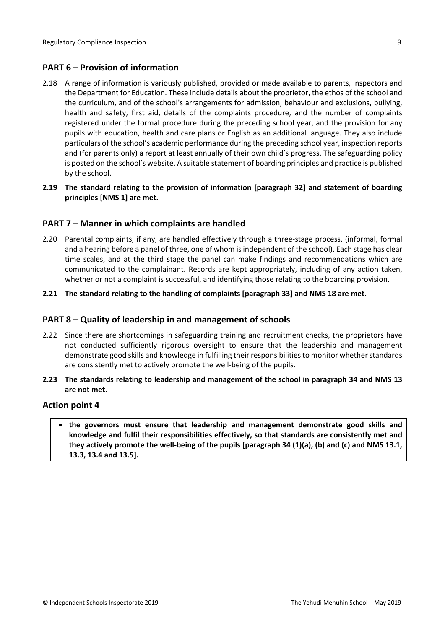# <span id="page-8-0"></span>**PART 6 – Provision of information**

- 2.18 A range of information is variously published, provided or made available to parents, inspectors and the Department for Education. These include details about the proprietor, the ethos of the school and the curriculum, and of the school's arrangements for admission, behaviour and exclusions, bullying, health and safety, first aid, details of the complaints procedure, and the number of complaints registered under the formal procedure during the preceding school year, and the provision for any pupils with education, health and care plans or English as an additional language. They also include particulars of the school's academic performance during the preceding school year, inspection reports and (for parents only) a report at least annually of their own child's progress. The safeguarding policy is posted on the school's website. A suitable statement of boarding principles and practice is published by the school.
- **2.19 The standard relating to the provision of information [paragraph 32] and statement of boarding principles [NMS 1] are met.**

### <span id="page-8-1"></span>**PART 7 – Manner in which complaints are handled**

- 2.20 Parental complaints, if any, are handled effectively through a three-stage process, (informal, formal and a hearing before a panel of three, one of whom isindependent of the school). Each stage has clear time scales, and at the third stage the panel can make findings and recommendations which are communicated to the complainant. Records are kept appropriately, including of any action taken, whether or not a complaint is successful, and identifying those relating to the boarding provision.
- **2.21 The standard relating to the handling of complaints [paragraph 33] and NMS 18 are met.**

### <span id="page-8-2"></span>**PART 8 – Quality of leadership in and management of schools**

- 2.22 Since there are shortcomings in safeguarding training and recruitment checks, the proprietors have not conducted sufficiently rigorous oversight to ensure that the leadership and management demonstrate good skills and knowledge in fulfilling their responsibilities to monitor whether standards are consistently met to actively promote the well-being of the pupils.
- **2.23 The standards relating to leadership and management of the school in paragraph 34 and NMS 13 are not met.**

#### **Action point 4**

 **the governors must ensure that leadership and management demonstrate good skills and knowledge and fulfil their responsibilities effectively, so that standards are consistently met and they actively promote the well-being of the pupils [paragraph 34 (1)(a), (b) and (c) and NMS 13.1, 13.3, 13.4 and 13.5].**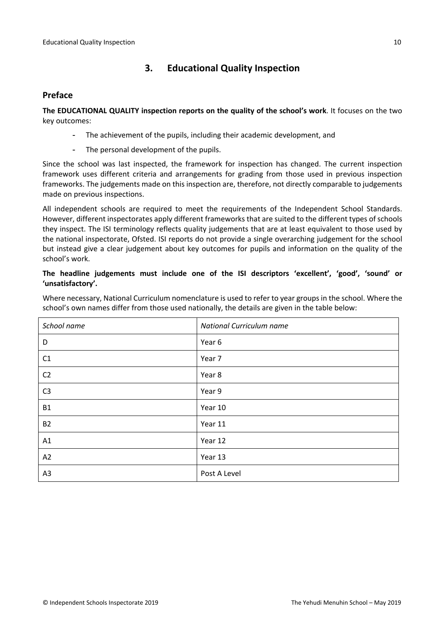# <span id="page-9-0"></span>**3. Educational Quality Inspection**

### <span id="page-9-1"></span>**Preface**

**The EDUCATIONAL QUALITY inspection reports on the quality of the school's work**. It focuses on the two key outcomes:

- The achievement of the pupils, including their academic development, and
- The personal development of the pupils.

Since the school was last inspected, the framework for inspection has changed. The current inspection framework uses different criteria and arrangements for grading from those used in previous inspection frameworks. The judgements made on this inspection are, therefore, not directly comparable to judgements made on previous inspections.

All independent schools are required to meet the requirements of the Independent School Standards. However, different inspectorates apply different frameworks that are suited to the different types of schools they inspect. The ISI terminology reflects quality judgements that are at least equivalent to those used by the national inspectorate, Ofsted. ISI reports do not provide a single overarching judgement for the school but instead give a clear judgement about key outcomes for pupils and information on the quality of the school's work.

### **The headline judgements must include one of the ISI descriptors 'excellent', 'good', 'sound' or 'unsatisfactory'.**

Where necessary, National Curriculum nomenclature is used to refer to year groups in the school. Where the school's own names differ from those used nationally, the details are given in the table below:

| School name    | National Curriculum name |
|----------------|--------------------------|
| D              | Year 6                   |
| C1             | Year 7                   |
| C <sub>2</sub> | Year 8                   |
| C <sub>3</sub> | Year 9                   |
| <b>B1</b>      | Year 10                  |
| <b>B2</b>      | Year 11                  |
| A1             | Year 12                  |
| A2             | Year 13                  |
| A3             | Post A Level             |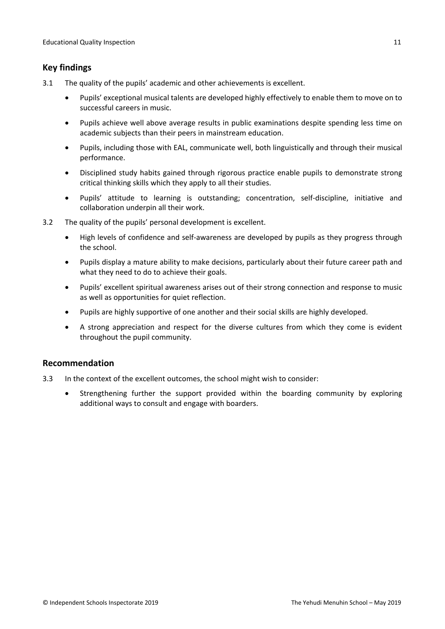# <span id="page-10-0"></span>**Key findings**

- 3.1 The quality of the pupils' academic and other achievements is excellent.
	- Pupils' exceptional musical talents are developed highly effectively to enable them to move on to successful careers in music.
	- Pupils achieve well above average results in public examinations despite spending less time on academic subjects than their peers in mainstream education.
	- Pupils, including those with EAL, communicate well, both linguistically and through their musical performance.
	- Disciplined study habits gained through rigorous practice enable pupils to demonstrate strong critical thinking skills which they apply to all their studies.
	- Pupils' attitude to learning is outstanding; concentration, self-discipline, initiative and collaboration underpin all their work.
- 3.2 The quality of the pupils' personal development is excellent.
	- High levels of confidence and self-awareness are developed by pupils as they progress through the school.
	- Pupils display a mature ability to make decisions, particularly about their future career path and what they need to do to achieve their goals.
	- Pupils' excellent spiritual awareness arises out of their strong connection and response to music as well as opportunities for quiet reflection.
	- Pupils are highly supportive of one another and their social skills are highly developed.
	- A strong appreciation and respect for the diverse cultures from which they come is evident throughout the pupil community.

# <span id="page-10-1"></span>**Recommendation**

- 3.3 In the context of the excellent outcomes, the school might wish to consider:
	- Strengthening further the support provided within the boarding community by exploring additional ways to consult and engage with boarders.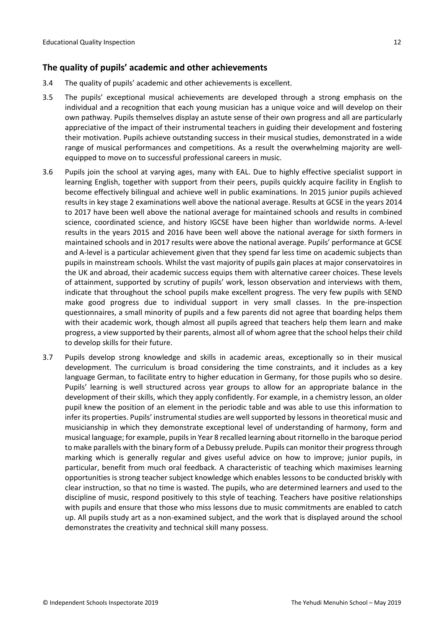# <span id="page-11-0"></span>**The quality of pupils' academic and other achievements**

- 3.4 The quality of pupils' academic and other achievements is excellent.
- 3.5 The pupils' exceptional musical achievements are developed through a strong emphasis on the individual and a recognition that each young musician has a unique voice and will develop on their own pathway. Pupils themselves display an astute sense of their own progress and all are particularly appreciative of the impact of their instrumental teachers in guiding their development and fostering their motivation. Pupils achieve outstanding success in their musical studies, demonstrated in a wide range of musical performances and competitions. As a result the overwhelming majority are wellequipped to move on to successful professional careers in music.
- 3.6 Pupils join the school at varying ages, many with EAL. Due to highly effective specialist support in learning English, together with support from their peers, pupils quickly acquire facility in English to become effectively bilingual and achieve well in public examinations. In 2015 junior pupils achieved results in key stage 2 examinations well above the national average. Results at GCSE in the years 2014 to 2017 have been well above the national average for maintained schools and results in combined science, coordinated science, and history IGCSE have been higher than worldwide norms. A-level results in the years 2015 and 2016 have been well above the national average for sixth formers in maintained schools and in 2017 results were above the national average. Pupils' performance at GCSE and A-level is a particular achievement given that they spend far less time on academic subjects than pupils in mainstream schools. Whilst the vast majority of pupils gain places at major conservatoires in the UK and abroad, their academic success equips them with alternative career choices. These levels of attainment, supported by scrutiny of pupils' work, lesson observation and interviews with them, indicate that throughout the school pupils make excellent progress. The very few pupils with SEND make good progress due to individual support in very small classes. In the pre-inspection questionnaires, a small minority of pupils and a few parents did not agree that boarding helps them with their academic work, though almost all pupils agreed that teachers help them learn and make progress, a view supported by their parents, almost all of whom agree that the school helps their child to develop skills for their future.
- 3.7 Pupils develop strong knowledge and skills in academic areas, exceptionally so in their musical development. The curriculum is broad considering the time constraints, and it includes as a key language German, to facilitate entry to higher education in Germany, for those pupils who so desire. Pupils' learning is well structured across year groups to allow for an appropriate balance in the development of their skills, which they apply confidently. For example, in a chemistry lesson, an older pupil knew the position of an element in the periodic table and was able to use this information to infer its properties. Pupils' instrumental studies are well supported by lessons in theoretical music and musicianship in which they demonstrate exceptional level of understanding of harmony, form and musical language; for example, pupilsin Year 8 recalled learning about ritornello in the baroque period to make parallels with the binary form of a Debussy prelude. Pupils can monitor their progress through marking which is generally regular and gives useful advice on how to improve; junior pupils, in particular, benefit from much oral feedback. A characteristic of teaching which maximises learning opportunities is strong teacher subject knowledge which enables lessons to be conducted briskly with clear instruction, so that no time is wasted. The pupils, who are determined learners and used to the discipline of music, respond positively to this style of teaching. Teachers have positive relationships with pupils and ensure that those who miss lessons due to music commitments are enabled to catch up. All pupils study art as a non-examined subject, and the work that is displayed around the school demonstrates the creativity and technical skill many possess.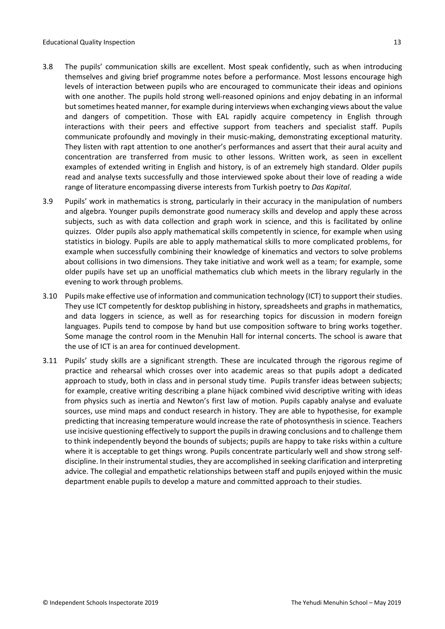- 3.8 The pupils' communication skills are excellent. Most speak confidently, such as when introducing themselves and giving brief programme notes before a performance. Most lessons encourage high levels of interaction between pupils who are encouraged to communicate their ideas and opinions with one another. The pupils hold strong well-reasoned opinions and enjoy debating in an informal but sometimes heated manner, for example during interviews when exchanging views about the value and dangers of competition. Those with EAL rapidly acquire competency in English through interactions with their peers and effective support from teachers and specialist staff. Pupils communicate profoundly and movingly in their music-making, demonstrating exceptional maturity. They listen with rapt attention to one another's performances and assert that their aural acuity and concentration are transferred from music to other lessons. Written work, as seen in excellent examples of extended writing in English and history, is of an extremely high standard. Older pupils read and analyse texts successfully and those interviewed spoke about their love of reading a wide range of literature encompassing diverse interests from Turkish poetry to *Das Kapital*.
- 3.9 Pupils' work in mathematics is strong, particularly in their accuracy in the manipulation of numbers and algebra. Younger pupils demonstrate good numeracy skills and develop and apply these across subjects, such as with data collection and graph work in science, and this is facilitated by online quizzes. Older pupils also apply mathematical skills competently in science, for example when using statistics in biology. Pupils are able to apply mathematical skills to more complicated problems, for example when successfully combining their knowledge of kinematics and vectors to solve problems about collisions in two dimensions. They take initiative and work well as a team; for example, some older pupils have set up an unofficial mathematics club which meets in the library regularly in the evening to work through problems.
- 3.10 Pupils make effective use of information and communication technology (ICT) to support their studies. They use ICT competently for desktop publishing in history, spreadsheets and graphs in mathematics, and data loggers in science, as well as for researching topics for discussion in modern foreign languages. Pupils tend to compose by hand but use composition software to bring works together. Some manage the control room in the Menuhin Hall for internal concerts. The school is aware that the use of ICT is an area for continued development.
- 3.11 Pupils' study skills are a significant strength. These are inculcated through the rigorous regime of practice and rehearsal which crosses over into academic areas so that pupils adopt a dedicated approach to study, both in class and in personal study time. Pupils transfer ideas between subjects; for example, creative writing describing a plane hijack combined vivid descriptive writing with ideas from physics such as inertia and Newton's first law of motion. Pupils capably analyse and evaluate sources, use mind maps and conduct research in history. They are able to hypothesise, for example predicting that increasing temperature would increase the rate of photosynthesis in science. Teachers use incisive questioning effectively to support the pupilsin drawing conclusions and to challenge them to think independently beyond the bounds of subjects; pupils are happy to take risks within a culture where it is acceptable to get things wrong. Pupils concentrate particularly well and show strong selfdiscipline. In their instrumental studies, they are accomplished in seeking clarification and interpreting advice. The collegial and empathetic relationships between staff and pupils enjoyed within the music department enable pupils to develop a mature and committed approach to their studies.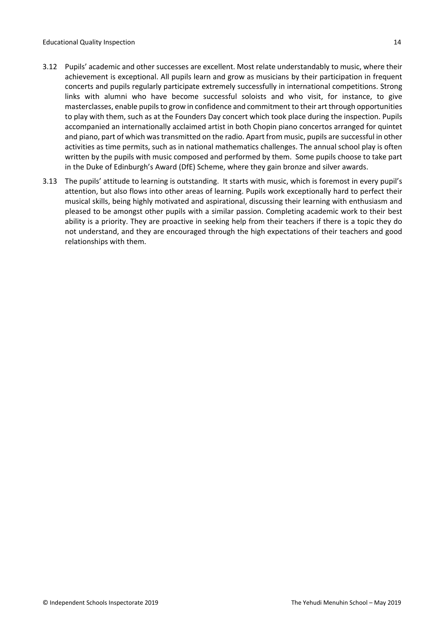- 3.12 Pupils' academic and other successes are excellent. Most relate understandably to music, where their achievement is exceptional. All pupils learn and grow as musicians by their participation in frequent concerts and pupils regularly participate extremely successfully in international competitions. Strong links with alumni who have become successful soloists and who visit, for instance, to give masterclasses, enable pupilsto grow in confidence and commitment to their art through opportunities to play with them, such as at the Founders Day concert which took place during the inspection. Pupils accompanied an internationally acclaimed artist in both Chopin piano concertos arranged for quintet and piano, part of which wastransmitted on the radio. Apart from music, pupils are successful in other activities as time permits, such as in national mathematics challenges. The annual school play is often written by the pupils with music composed and performed by them. Some pupils choose to take part in the Duke of Edinburgh's Award (DfE) Scheme, where they gain bronze and silver awards.
- 3.13 The pupils' attitude to learning is outstanding. It starts with music, which is foremost in every pupil's attention, but also flows into other areas of learning. Pupils work exceptionally hard to perfect their musical skills, being highly motivated and aspirational, discussing their learning with enthusiasm and pleased to be amongst other pupils with a similar passion. Completing academic work to their best ability is a priority. They are proactive in seeking help from their teachers if there is a topic they do not understand, and they are encouraged through the high expectations of their teachers and good relationships with them.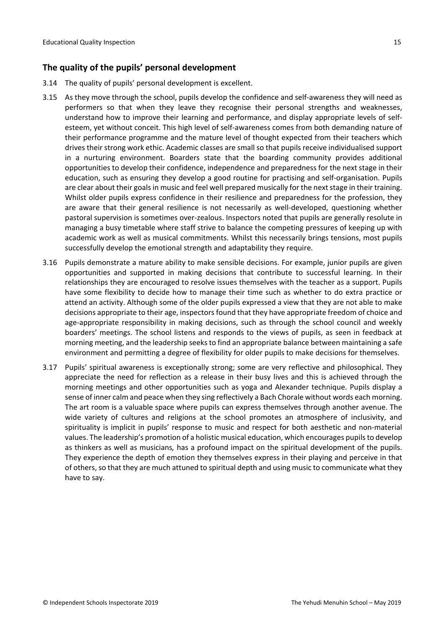# <span id="page-14-0"></span>**The quality of the pupils' personal development**

- 3.14 The quality of pupils' personal development is excellent.
- 3.15 As they move through the school, pupils develop the confidence and self-awareness they will need as performers so that when they leave they recognise their personal strengths and weaknesses, understand how to improve their learning and performance, and display appropriate levels of selfesteem, yet without conceit. This high level of self-awareness comes from both demanding nature of their performance programme and the mature level of thought expected from their teachers which drives their strong work ethic. Academic classes are small so that pupils receive individualised support in a nurturing environment. Boarders state that the boarding community provides additional opportunities to develop their confidence, independence and preparedness for the next stage in their education, such as ensuring they develop a good routine for practising and self-organisation. Pupils are clear about their goals in music and feel well prepared musically for the next stage in their training. Whilst older pupils express confidence in their resilience and preparedness for the profession, they are aware that their general resilience is not necessarily as well-developed, questioning whether pastoral supervision is sometimes over-zealous. Inspectors noted that pupils are generally resolute in managing a busy timetable where staff strive to balance the competing pressures of keeping up with academic work as well as musical commitments. Whilst this necessarily brings tensions, most pupils successfully develop the emotional strength and adaptability they require.
- 3.16 Pupils demonstrate a mature ability to make sensible decisions. For example, junior pupils are given opportunities and supported in making decisions that contribute to successful learning. In their relationships they are encouraged to resolve issues themselves with the teacher as a support. Pupils have some flexibility to decide how to manage their time such as whether to do extra practice or attend an activity. Although some of the older pupils expressed a view that they are not able to make decisions appropriate to their age, inspectorsfound that they have appropriate freedom of choice and age-appropriate responsibility in making decisions, such as through the school council and weekly boarders' meetings. The school listens and responds to the views of pupils, as seen in feedback at morning meeting, and the leadership seeks to find an appropriate balance between maintaining a safe environment and permitting a degree of flexibility for older pupils to make decisions for themselves.
- 3.17 Pupils' spiritual awareness is exceptionally strong; some are very reflective and philosophical. They appreciate the need for reflection as a release in their busy lives and this is achieved through the morning meetings and other opportunities such as yoga and Alexander technique. Pupils display a sense of inner calm and peace when they sing reflectively a Bach Chorale without words each morning. The art room is a valuable space where pupils can express themselves through another avenue. The wide variety of cultures and religions at the school promotes an atmosphere of inclusivity, and spirituality is implicit in pupils' response to music and respect for both aesthetic and non-material values. The leadership's promotion of a holistic musical education, which encourages pupils to develop as thinkers as well as musicians*,* has a profound impact on the spiritual development of the pupils. They experience the depth of emotion they themselves express in their playing and perceive in that of others, so that they are much attuned to spiritual depth and using music to communicate what they have to say.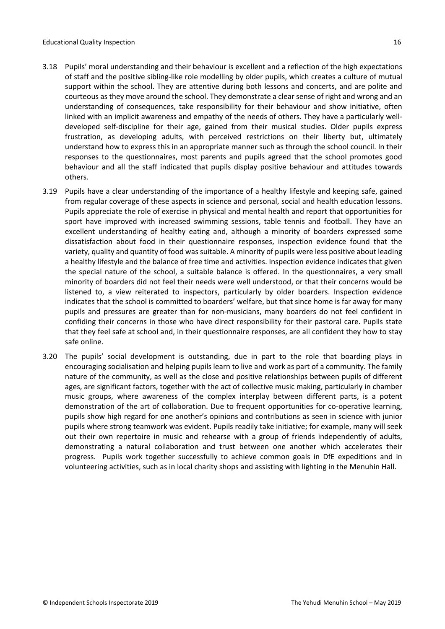- 3.18 Pupils' moral understanding and their behaviour is excellent and a reflection of the high expectations of staff and the positive sibling-like role modelling by older pupils, which creates a culture of mutual support within the school. They are attentive during both lessons and concerts, and are polite and courteous as they move around the school. They demonstrate a clear sense of right and wrong and an understanding of consequences, take responsibility for their behaviour and show initiative, often linked with an implicit awareness and empathy of the needs of others. They have a particularly welldeveloped self-discipline for their age, gained from their musical studies. Older pupils express frustration, as developing adults, with perceived restrictions on their liberty but, ultimately understand how to express this in an appropriate manner such as through the school council. In their responses to the questionnaires, most parents and pupils agreed that the school promotes good behaviour and all the staff indicated that pupils display positive behaviour and attitudes towards others.
- 3.19 Pupils have a clear understanding of the importance of a healthy lifestyle and keeping safe, gained from regular coverage of these aspects in science and personal, social and health education lessons. Pupils appreciate the role of exercise in physical and mental health and report that opportunities for sport have improved with increased swimming sessions, table tennis and football. They have an excellent understanding of healthy eating and, although a minority of boarders expressed some dissatisfaction about food in their questionnaire responses, inspection evidence found that the variety, quality and quantity of food was suitable. A minority of pupils were less positive about leading a healthy lifestyle and the balance of free time and activities. Inspection evidence indicates that given the special nature of the school, a suitable balance is offered. In the questionnaires, a very small minority of boarders did not feel their needs were well understood, or that their concerns would be listened to, a view reiterated to inspectors, particularly by older boarders. Inspection evidence indicates that the school is committed to boarders' welfare, but that since home is far away for many pupils and pressures are greater than for non-musicians, many boarders do not feel confident in confiding their concerns in those who have direct responsibility for their pastoral care. Pupils state that they feel safe at school and, in their questionnaire responses, are all confident they how to stay safe online.
- 3.20 The pupils' social development is outstanding, due in part to the role that boarding plays in encouraging socialisation and helping pupils learn to live and work as part of a community. The family nature of the community, as well as the close and positive relationships between pupils of different ages, are significant factors, together with the act of collective music making, particularly in chamber music groups, where awareness of the complex interplay between different parts, is a potent demonstration of the art of collaboration. Due to frequent opportunities for co-operative learning, pupils show high regard for one another's opinions and contributions as seen in science with junior pupils where strong teamwork was evident. Pupils readily take initiative; for example, many will seek out their own repertoire in music and rehearse with a group of friends independently of adults, demonstrating a natural collaboration and trust between one another which accelerates their progress. Pupils work together successfully to achieve common goals in DfE expeditions and in volunteering activities, such as in local charity shops and assisting with lighting in the Menuhin Hall.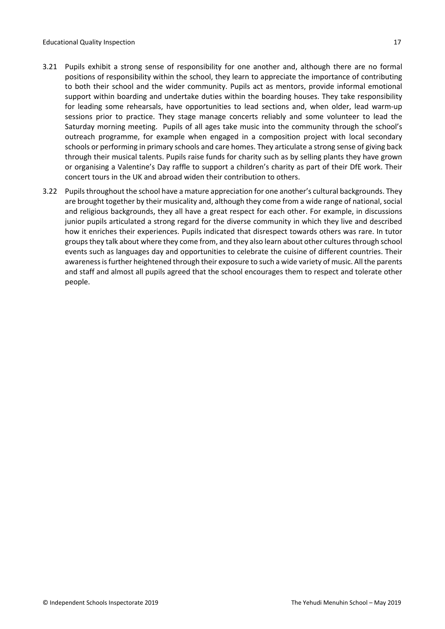- 3.21 Pupils exhibit a strong sense of responsibility for one another and, although there are no formal positions of responsibility within the school, they learn to appreciate the importance of contributing to both their school and the wider community. Pupils act as mentors, provide informal emotional support within boarding and undertake duties within the boarding houses. They take responsibility for leading some rehearsals, have opportunities to lead sections and, when older, lead warm-up sessions prior to practice. They stage manage concerts reliably and some volunteer to lead the Saturday morning meeting. Pupils of all ages take music into the community through the school's outreach programme, for example when engaged in a composition project with local secondary schools or performing in primary schools and care homes. They articulate a strong sense of giving back through their musical talents. Pupils raise funds for charity such as by selling plants they have grown or organising a Valentine's Day raffle to support a children's charity as part of their DfE work. Their concert tours in the UK and abroad widen their contribution to others.
- 3.22 Pupils throughout the school have a mature appreciation for one another's cultural backgrounds. They are brought together by their musicality and, although they come from a wide range of national, social and religious backgrounds, they all have a great respect for each other. For example, in discussions junior pupils articulated a strong regard for the diverse community in which they live and described how it enriches their experiences. Pupils indicated that disrespect towards others was rare. In tutor groups they talk about where they come from, and they also learn about other cultures through school events such as languages day and opportunities to celebrate the cuisine of different countries. Their awarenessisfurther heightened through their exposure to such a wide variety of music. All the parents and staff and almost all pupils agreed that the school encourages them to respect and tolerate other people.